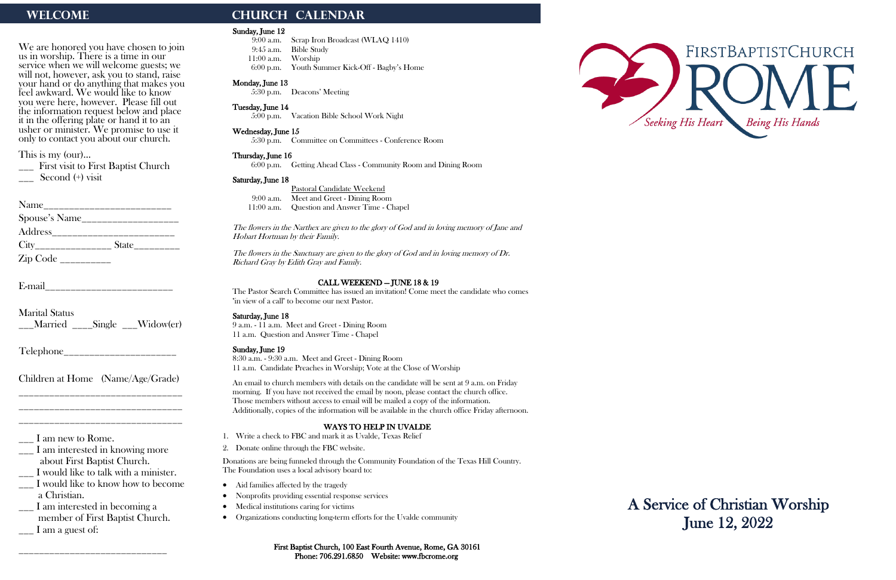We are honored you have chosen to join us in worship. There is a time in our service when we will welcome guests; we will not, however, ask you to stand, raise your hand or do anything that makes you feel awkward. We would like to know you were here, however. Please fill out the information request below and place it in the offering plate or hand it to an usher or minister. We promise to use it only to contact you about our church.

\_\_\_ First visit to First Baptist Church  $\sim$  Second  $(+)$  visit

Name\_\_\_\_\_\_\_\_\_\_\_\_\_\_\_\_\_\_\_\_\_\_\_\_\_ Spouse's Name\_\_\_\_\_\_\_\_\_\_\_\_\_\_\_\_\_\_\_ Address\_\_\_\_\_\_\_\_\_\_\_\_\_\_\_\_\_\_\_\_\_\_\_\_ City\_\_\_\_\_\_\_\_\_\_\_\_\_\_\_ State\_\_\_\_\_\_\_\_\_  $\mathop{\rm Zip}\nolimits$  Code \_\_\_\_\_\_\_\_\_\_\_

This is my (our)…

\_\_\_ I am interested in becoming a member of First Baptist Church.  $\Box$  I am a guest of:

E-mail\_\_\_\_\_\_\_\_\_\_\_\_\_\_\_\_\_\_\_\_\_\_\_\_\_

Marital Status \_\_\_Married \_\_\_\_Single \_\_\_Widow(er)

Telephone\_\_\_\_\_\_\_\_\_\_\_\_\_\_\_\_\_\_\_\_\_\_

Children at Home (Name/Age/Grade) \_\_\_\_\_\_\_\_\_\_\_\_\_\_\_\_\_\_\_\_\_\_\_\_\_\_\_\_\_\_\_\_

\_\_\_\_\_\_\_\_\_\_\_\_\_\_\_\_\_\_\_\_\_\_\_\_\_\_\_\_\_\_\_\_ \_\_\_\_\_\_\_\_\_\_\_\_\_\_\_\_\_\_\_\_\_\_\_\_\_\_\_\_\_\_\_\_

 $\frac{1}{2}$  I am new to Rome.

\_\_\_ I am interested in knowing more about First Baptist Church.

\_\_\_ I would like to talk with a minister.

\_\_\_ I would like to know how to become a Christian.

\_\_\_\_\_\_\_\_\_\_\_\_\_\_\_\_\_\_\_\_\_\_\_\_\_\_\_\_\_

# WELCOME **CHURCH CALENDAR**

#### Sunday, June 12

9:00 a.m. Scrap Iron Broadcast (WLAQ 1410) 9:45 a.m. Bible Study 11:00 a.m. Worship 6:00 p.m. Youth Summer Kick-Off - Bagby's Home

### Monday, June 13

5:30 p.m. Deacons' Meeting

#### Tuesday, June 14

5:00 p.m. Vacation Bible School Work Night

#### Wednesday, June 15

5:30 p.m. Committee on Committees - Conference Room

#### Thursday, June 16

- Aid families affected by the tragedy
- Nonprofits providing essential response services
- Medical institutions caring for victims
- Organizations conducting long-term efforts for the Uvalde community

6:00 p.m. Getting Ahead Class - Community Room and Dining Room

#### Saturday, June 18

Pastoral Candidate Weekend 9:00 a.m. Meet and Greet - Dining Room 11:00 a.m. Question and Answer Time - Chapel

The flowers in the Narthex are given to the glory of God and in loving memory of Jane and Hobart Hortman by their Family.

The flowers in the Sanctuary are given to the glory of God and in loving memory of Dr. Richard Gray by Edith Gray and Family.

#### CALL WEEKEND — JUNE 18 & 19

The Pastor Search Committee has issued an invitation! Come meet the candidate who comes "in view of a call" to become our next Pastor.

#### Saturday, June 18

9 a.m. - 11 a.m. Meet and Greet - Dining Room 11 a.m. Question and Answer Time - Chapel

#### Sunday, June 19

8:30 a.m. - 9:30 a.m. Meet and Greet - Dining Room 11 a.m. Candidate Preaches in Worship; Vote at the Close of Worship

An email to church members with details on the candidate will be sent at 9 a.m. on Friday morning. If you have not received the email by noon, please contact the church office. Those members without access to email will be mailed a copy of the information. Additionally, copies of the information will be available in the church office Friday afternoon.

## WAYS TO HELP IN UVALDE

- 1. Write a check to FBC and mark it as Uvalde, Texas Relief
- 2. Donate online through the FBC website.

Donations are being funneled through the Community Foundation of the Texas Hill Country. The Foundation uses a local advisory board to:





A Service of Christian Worship June 12, 2022